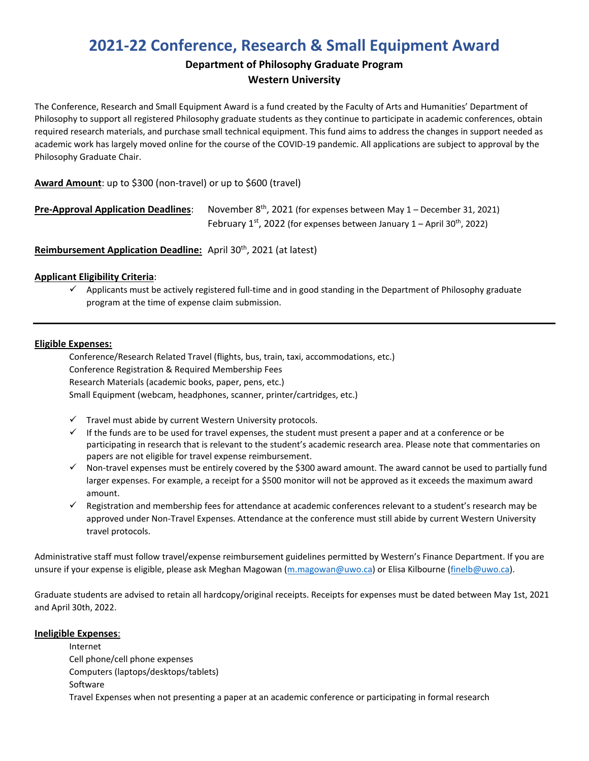# **2021-22 Conference, Research & Small Equipment Award**

### **Department of Philosophy Graduate Program Western University**

The Conference, Research and Small Equipment Award is a fund created by the Faculty of Arts and Humanities' Department of Philosophy to support all registered Philosophy graduate students as they continue to participate in academic conferences, obtain required research materials, and purchase small technical equipment. This fund aims to address the changes in support needed as academic work has largely moved online for the course of the COVID-19 pandemic. All applications are subject to approval by the Philosophy Graduate Chair.

### **Award Amount**: up to \$300 (non-travel) or up to \$600 (travel)

| <b>Pre-Approval Application Deadlines:</b> | November $8th$ , 2021 (for expenses between May 1 – December 31, 2021)                    |
|--------------------------------------------|-------------------------------------------------------------------------------------------|
|                                            | February $1^{st}$ , 2022 (for expenses between January 1 – April 30 <sup>th</sup> , 2022) |

**Reimbursement Application Deadline:** April 30<sup>th</sup>, 2021 (at latest)

#### **Applicant Eligibility Criteria**:

 $\checkmark$  Applicants must be actively registered full-time and in good standing in the Department of Philosophy graduate program at the time of expense claim submission.

#### **Eligible Expenses:**

Conference/Research Related Travel (flights, bus, train, taxi, accommodations, etc.) Conference Registration & Required Membership Fees Research Materials (academic books, paper, pens, etc.) Small Equipment (webcam, headphones, scanner, printer/cartridges, etc.)

- $\checkmark$  Travel must abide by current Western University protocols.
- $\checkmark$  If the funds are to be used for travel expenses, the student must present a paper and at a conference or be participating in research that is relevant to the student's academic research area. Please note that commentaries on papers are not eligible for travel expense reimbursement.
- $\checkmark$  Non-travel expenses must be entirely covered by the \$300 award amount. The award cannot be used to partially fund larger expenses. For example, a receipt for a \$500 monitor will not be approved as it exceeds the maximum award amount.
- $\checkmark$  Registration and membership fees for attendance at academic conferences relevant to a student's research may be approved under Non-Travel Expenses. Attendance at the conference must still abide by current Western University travel protocols.

Administrative staff must follow travel/expense reimbursement guidelines permitted by Western's Finance Department. If you are unsure if your expense is eligible, please ask Meghan Magowan [\(m.magowan@uwo.ca\)](mailto:m.magowan@uwo.ca) or Elisa Kilbourne [\(finelb@uwo.ca\)](mailto:finelb@uwo.ca).

Graduate students are advised to retain all hardcopy/original receipts. Receipts for expenses must be dated between May 1st, 2021 and April 30th, 2022.

#### **Ineligible Expenses**:

Internet Cell phone/cell phone expenses Computers (laptops/desktops/tablets) Software Travel Expenses when not presenting a paper at an academic conference or participating in formal research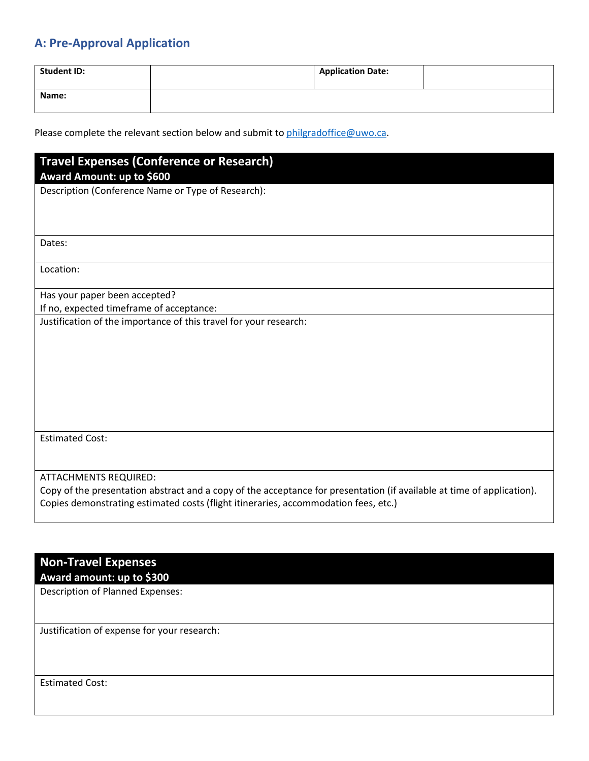## **A: Pre-Approval Application**

| <b>Student ID:</b> | <b>Application Date:</b> |  |
|--------------------|--------------------------|--|
| Name:              |                          |  |

Please complete the relevant section below and submit to [philgradoffice@uwo.ca.](mailto:philgradoffice@uwo.ca)

# **Travel Expenses (Conference or Research)**

### **Award Amount: up to \$600**

Description (Conference Name or Type of Research):

Dates:

Location:

Has your paper been accepted? If no, expected timeframe of acceptance:

Justification of the importance of this travel for your research:

Estimated Cost:

ATTACHMENTS REQUIRED:

Copy of the presentation abstract and a copy of the acceptance for presentation (if available at time of application). Copies demonstrating estimated costs (flight itineraries, accommodation fees, etc.)

### **Non-Travel Expenses Award amount: up to \$300**

Description of Planned Expenses:

Justification of expense for your research:

Estimated Cost: